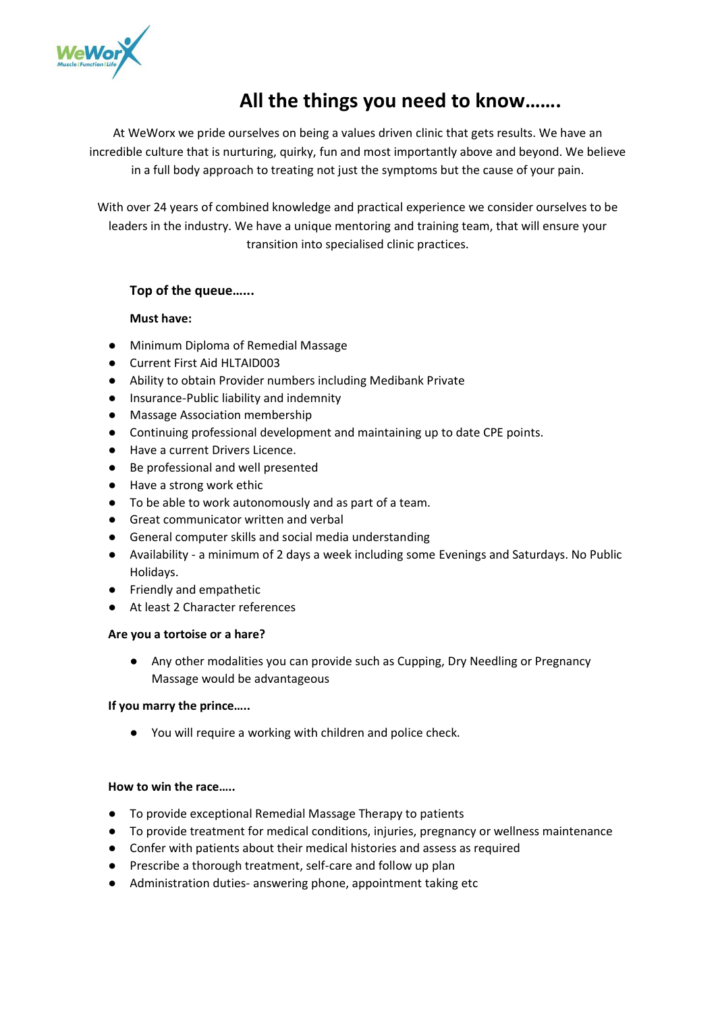

# **All the things you need to know…….**

At WeWorx we pride ourselves on being a values driven clinic that gets results. We have an incredible culture that is nurturing, quirky, fun and most importantly above and beyond. We believe in a full body approach to treating not just the symptoms but the cause of your pain.

With over 24 years of combined knowledge and practical experience we consider ourselves to be leaders in the industry. We have a unique mentoring and training team, that will ensure your transition into specialised clinic practices.

# **Top of the queue…...**

# **Must have:**

- Minimum Diploma of Remedial Massage
- Current First Aid HLTAID003
- Ability to obtain Provider numbers including Medibank Private
- Insurance-Public liability and indemnity
- Massage Association membership
- Continuing professional development and maintaining up to date CPE points.
- Have a current Drivers Licence.
- Be professional and well presented
- Have a strong work ethic
- To be able to work autonomously and as part of a team.
- Great communicator written and verbal
- General computer skills and social media understanding
- Availability a minimum of 2 days a week including some Evenings and Saturdays. No Public Holidays.
- Friendly and empathetic
- At least 2 Character references

#### **Are you a tortoise or a hare?**

● Any other modalities you can provide such as Cupping, Dry Needling or Pregnancy Massage would be advantageous

# **If you marry the prince…..**

● You will require a working with children and police check.

#### **How to win the race…..**

- To provide exceptional Remedial Massage Therapy to patients
- To provide treatment for medical conditions, injuries, pregnancy or wellness maintenance
- Confer with patients about their medical histories and assess as required
- Prescribe a thorough treatment, self-care and follow up plan
- Administration duties- answering phone, appointment taking etc